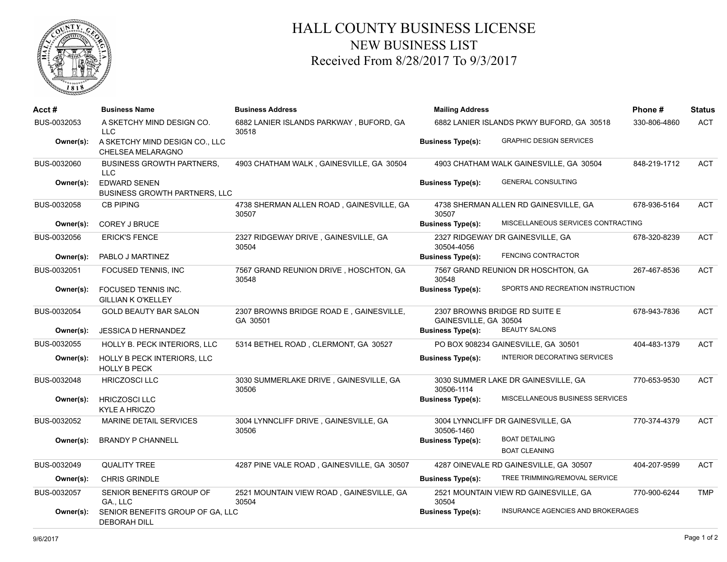

## HALL COUNTY BUSINESS LICENSE NEW BUSINESS LIST Received From 8/28/2017 To 9/3/2017

| Acct#       | <b>Business Name</b>                                        | <b>Business Address</b>                             | <b>Mailing Address</b>                    |                                               | Phone#       | <b>Status</b> |
|-------------|-------------------------------------------------------------|-----------------------------------------------------|-------------------------------------------|-----------------------------------------------|--------------|---------------|
| BUS-0032053 | A SKETCHY MIND DESIGN CO.<br><b>LLC</b>                     | 6882 LANIER ISLANDS PARKWAY, BUFORD, GA<br>30518    | 6882 LANIER ISLANDS PKWY BUFORD, GA 30518 |                                               | 330-806-4860 | <b>ACT</b>    |
| Owner(s):   | A SKETCHY MIND DESIGN CO., LLC<br>CHELSEA MELARAGNO         |                                                     | <b>Business Type(s):</b>                  | <b>GRAPHIC DESIGN SERVICES</b>                |              |               |
| BUS-0032060 | <b>BUSINESS GROWTH PARTNERS.</b><br><b>LLC</b>              | 4903 CHATHAM WALK, GAINESVILLE, GA 30504            |                                           | 4903 CHATHAM WALK GAINESVILLE, GA 30504       | 848-219-1712 | <b>ACT</b>    |
| Owner(s):   | <b>EDWARD SENEN</b><br><b>BUSINESS GROWTH PARTNERS, LLC</b> |                                                     | <b>Business Type(s):</b>                  | <b>GENERAL CONSULTING</b>                     |              |               |
| BUS-0032058 | <b>CB PIPING</b>                                            | 4738 SHERMAN ALLEN ROAD, GAINESVILLE, GA<br>30507   | 30507                                     | 4738 SHERMAN ALLEN RD GAINESVILLE, GA         | 678-936-5164 | <b>ACT</b>    |
| Owner(s):   | <b>COREY J BRUCE</b>                                        |                                                     | <b>Business Type(s):</b>                  | MISCELLANEOUS SERVICES CONTRACTING            |              |               |
| BUS-0032056 | <b>ERICK'S FENCE</b>                                        | 2327 RIDGEWAY DRIVE, GAINESVILLE, GA<br>30504       | 30504-4056                                | 2327 RIDGEWAY DR GAINESVILLE, GA              | 678-320-8239 | <b>ACT</b>    |
| Owner(s):   | PABLO J MARTINEZ                                            |                                                     | <b>Business Type(s):</b>                  | <b>FENCING CONTRACTOR</b>                     |              |               |
| BUS-0032051 | FOCUSED TENNIS, INC                                         | 7567 GRAND REUNION DRIVE, HOSCHTON, GA<br>30548     | 30548                                     | 7567 GRAND REUNION DR HOSCHTON, GA            | 267-467-8536 | <b>ACT</b>    |
| Owner(s):   | <b>FOCUSED TENNIS INC.</b><br><b>GILLIAN K O'KELLEY</b>     |                                                     | <b>Business Type(s):</b>                  | SPORTS AND RECREATION INSTRUCTION             |              |               |
| BUS-0032054 | <b>GOLD BEAUTY BAR SALON</b>                                | 2307 BROWNS BRIDGE ROAD E, GAINESVILLE,<br>GA 30501 | GAINESVILLE, GA 30504                     | 2307 BROWNS BRIDGE RD SUITE E                 | 678-943-7836 | <b>ACT</b>    |
| Owner(s):   | <b>JESSICA D HERNANDEZ</b>                                  |                                                     | <b>Business Type(s):</b>                  | <b>BEAUTY SALONS</b>                          |              |               |
| BUS-0032055 | HOLLY B. PECK INTERIORS, LLC                                | 5314 BETHEL ROAD, CLERMONT, GA 30527                |                                           | PO BOX 908234 GAINESVILLE, GA 30501           | 404-483-1379 | <b>ACT</b>    |
| Owner(s):   | <b>HOLLY B PECK INTERIORS, LLC</b><br><b>HOLLY B PECK</b>   |                                                     | <b>Business Type(s):</b>                  | INTERIOR DECORATING SERVICES                  |              |               |
| BUS-0032048 | <b>HRICZOSCI LLC</b>                                        | 3030 SUMMERLAKE DRIVE, GAINESVILLE, GA<br>30506     | 30506-1114                                | 3030 SUMMER LAKE DR GAINESVILLE, GA           | 770-653-9530 | <b>ACT</b>    |
| Owner(s):   | <b>HRICZOSCI LLC</b><br><b>KYLE A HRICZO</b>                |                                                     | <b>Business Type(s):</b>                  | MISCELLANEOUS BUSINESS SERVICES               |              |               |
| BUS-0032052 | <b>MARINE DETAIL SERVICES</b>                               | 3004 LYNNCLIFF DRIVE, GAINESVILLE, GA<br>30506      | 30506-1460                                | 3004 LYNNCLIFF DR GAINESVILLE, GA             | 770-374-4379 | <b>ACT</b>    |
| Owner(s):   | <b>BRANDY P CHANNELL</b>                                    |                                                     | <b>Business Type(s):</b>                  | <b>BOAT DETAILING</b><br><b>BOAT CLEANING</b> |              |               |
| BUS-0032049 | <b>QUALITY TREE</b>                                         | 4287 PINE VALE ROAD, GAINESVILLE, GA 30507          |                                           | 4287 OINEVALE RD GAINESVILLE, GA 30507        | 404-207-9599 | <b>ACT</b>    |
| Owner(s):   | <b>CHRIS GRINDLE</b>                                        |                                                     | <b>Business Type(s):</b>                  | TREE TRIMMING/REMOVAL SERVICE                 |              |               |
| BUS-0032057 | SENIOR BENEFITS GROUP OF<br>GA., LLC                        | 2521 MOUNTAIN VIEW ROAD, GAINESVILLE, GA<br>30504   | 30504                                     | 2521 MOUNTAIN VIEW RD GAINESVILLE, GA         | 770-900-6244 | <b>TMP</b>    |
| Owner(s):   | SENIOR BENEFITS GROUP OF GA, LLC<br><b>DEBORAH DILL</b>     |                                                     | <b>Business Type(s):</b>                  | <b>INSURANCE AGENCIES AND BROKERAGES</b>      |              |               |